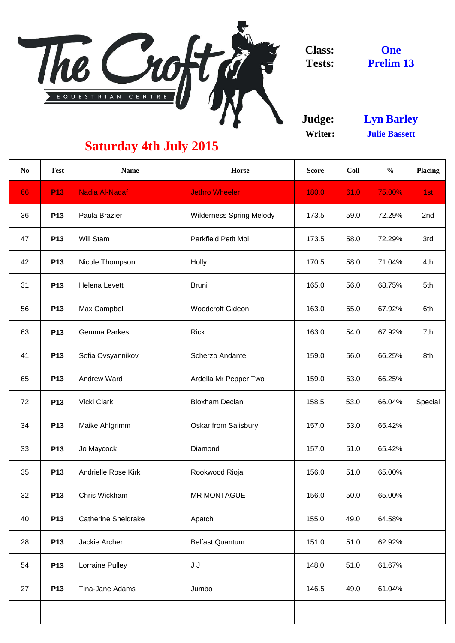

**Judge: Writer:**

| N <sub>o</sub> | <b>Test</b> | <b>Name</b>                | Horse                           | <b>Score</b> | Coll | $\frac{0}{0}$ | <b>Placing</b> |
|----------------|-------------|----------------------------|---------------------------------|--------------|------|---------------|----------------|
| 66             | <b>P13</b>  | Nadia Al-Nadaf             | <b>Jethro Wheeler</b>           | 180.0        | 61.0 | 75.00%        | 1st            |
| 36             | <b>P13</b>  | Paula Brazier              | <b>Wilderness Spring Melody</b> | 173.5        | 59.0 | 72.29%        | 2nd            |
| 47             | <b>P13</b>  | Will Stam                  | <b>Parkfield Petit Moi</b>      | 173.5        | 58.0 | 72.29%        | 3rd            |
| 42             | <b>P13</b>  | Nicole Thompson            | <b>Holly</b>                    | 170.5        | 58.0 | 71.04%        | 4th            |
| 31             | <b>P13</b>  | <b>Helena Levett</b>       | <b>Bruni</b>                    | 165.0        | 56.0 | 68.75%        | 5th            |
| 56             | <b>P13</b>  | Max Campbell               | <b>Woodcroft Gideon</b>         | 163.0        | 55.0 | 67.92%        | 6th            |
| 63             | <b>P13</b>  | <b>Gemma Parkes</b>        | <b>Rick</b>                     | 163.0        | 54.0 | 67.92%        | 7th            |
| 41             | <b>P13</b>  | Sofia Ovsyannikov          | <b>Scherzo Andante</b>          | 159.0        | 56.0 | 66.25%        | 8th            |
| 65             | <b>P13</b>  | <b>Andrew Ward</b>         | Ardella Mr Pepper Two           | 159.0        | 53.0 | 66.25%        |                |
| 72             | <b>P13</b>  | Vicki Clark                | <b>Bloxham Declan</b>           | 158.5        | 53.0 | 66.04%        | Special        |
| 34             | <b>P13</b>  | Maike Ahlgrimm             | <b>Oskar from Salisbury</b>     | 157.0        | 53.0 | 65.42%        |                |
| 33             | <b>P13</b>  | Jo Maycock                 | Diamond                         | 157.0        | 51.0 | 65.42%        |                |
| 35             | <b>P13</b>  | <b>Andrielle Rose Kirk</b> | Rookwood Rioja                  | 156.0        | 51.0 | 65.00%        |                |
| 32             | <b>P13</b>  | Chris Wickham              | <b>MR MONTAGUE</b>              | 156.0        | 50.0 | 65.00%        |                |
| 40             | <b>P13</b>  | <b>Catherine Sheldrake</b> | Apatchi                         | 155.0        | 49.0 | 64.58%        |                |
| 28             | <b>P13</b>  | Jackie Archer              | <b>Belfast Quantum</b>          | 151.0        | 51.0 | 62.92%        |                |
| 54             | <b>P13</b>  | <b>Lorraine Pulley</b>     | J J                             | 148.0        | 51.0 | 61.67%        |                |
| 27             | <b>P13</b>  | Tina-Jane Adams            | Jumbo                           | 146.5        | 49.0 | 61.04%        |                |
|                |             |                            |                                 |              |      |               |                |

**Julie Bassett Lyn Barley**

**One Prelim 13**

## **Saturday 4th July 2015**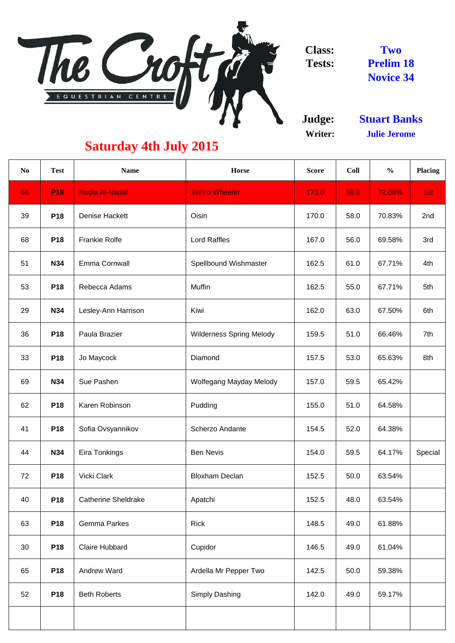

**Judge: Writer:**

| N <sub>0</sub> | <b>Test</b> | <b>Name</b>                | <b>Horse</b>                    | <b>Score</b> | Coll | $\frac{6}{6}$ | <b>Placing</b> |
|----------------|-------------|----------------------------|---------------------------------|--------------|------|---------------|----------------|
| 66             | <b>P18</b>  | <b>Nadia Al-Nadaf</b>      | <b>Jethro Wheeler</b>           | 173.0        | 58.0 | 72.08%        | 1st            |
| 39             | <b>P18</b>  | <b>Denise Hackett</b>      | Oisin                           | 170.0        | 58.0 | 70.83%        | 2nd            |
| 68             | <b>P18</b>  | <b>Frankie Rolfe</b>       | <b>Lord Raffles</b>             | 167.0        | 56.0 | 69.58%        | 3rd            |
| 51             | <b>N34</b>  | Emma Cornwall              | Spellbound Wishmaster           | 162.5        | 61.0 | 67.71%        | 4th            |
| 53             | <b>P18</b>  | Rebecca Adams              | <b>Muffin</b>                   | 162.5        | 55.0 | 67.71%        | 5th            |
| 29             | <b>N34</b>  | Lesley-Ann Harrison        | Kiwi                            | 162.0        | 63.0 | 67.50%        | 6th            |
| 36             | <b>P18</b>  | Paula Brazier              | <b>Wilderness Spring Melody</b> | 159.5        | 51.0 | 66.46%        | 7th            |
| 33             | <b>P18</b>  | Jo Maycock                 | Diamond                         | 157.5        | 53.0 | 65.63%        | 8th            |
| 69             | <b>N34</b>  | Sue Pashen                 | Wolfegang Mayday Melody         | 157.0        | 59.5 | 65.42%        |                |
| 62             | <b>P18</b>  | Karen Robinson             | Pudding                         | 155.0        | 51.0 | 64.58%        |                |
| 41             | <b>P18</b>  | Sofia Ovsyannikov          | <b>Scherzo Andante</b>          | 154.5        | 52.0 | 64.38%        |                |
| 44             | <b>N34</b>  | Eira Tonkings              | <b>Ben Nevis</b>                | 154.0        | 59.5 | 64.17%        | Special        |
| 72             | <b>P18</b>  | <b>Vicki Clark</b>         | <b>Bloxham Declan</b>           | 152.5        | 50.0 | 63.54%        |                |
| 40             | <b>P18</b>  | <b>Catherine Sheldrake</b> | Apatchi                         | 152.5        | 48.0 | 63.54%        |                |
| 63             | <b>P18</b>  | <b>Gemma Parkes</b>        | <b>Rick</b>                     | 148.5        | 49.0 | 61.88%        |                |
| 30             | <b>P18</b>  | <b>Claire Hubbard</b>      | Cupidor                         | 146.5        | 49.0 | 61.04%        |                |
| 65             | <b>P18</b>  | <b>Andrew Ward</b>         | Ardella Mr Pepper Two           | 142.5        | 50.0 | 59.38%        |                |
| 52             | <b>P18</b>  | <b>Beth Roberts</b>        | <b>Simply Dashing</b>           | 142.0        | 49.0 | 59.17%        |                |
|                |             |                            |                                 |              |      |               |                |

**Two Prelim 18 Novice 34**

**Stuart Banks Julie Jerome**

## **Saturday 4th July 2015**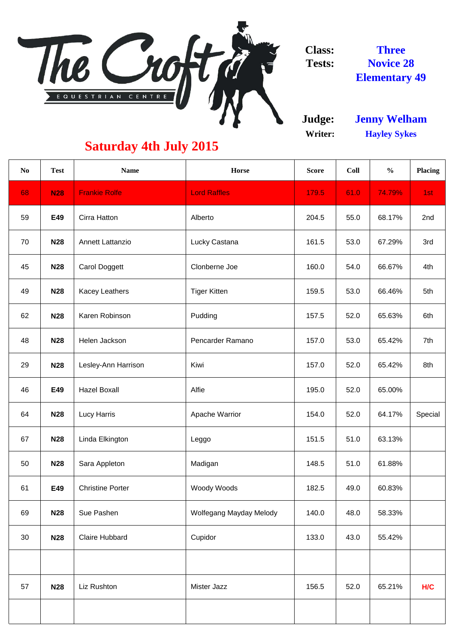

**Judge: Writer:**

| N <sub>0</sub> | <b>Test</b> | <b>Name</b>             | <b>Horse</b>            | <b>Score</b> | Coll | $\frac{0}{0}$ | <b>Placing</b> |
|----------------|-------------|-------------------------|-------------------------|--------------|------|---------------|----------------|
| 68             | <b>N28</b>  | <b>Frankie Rolfe</b>    | <b>Lord Raffles</b>     | 179.5        | 61.0 | 74.79%        | 1st            |
| 59             | E49         | Cirra Hatton            | Alberto                 | 204.5        | 55.0 | 68.17%        | 2nd            |
| 70             | <b>N28</b>  | <b>Annett Lattanzio</b> | Lucky Castana           | 161.5        | 53.0 | 67.29%        | 3rd            |
| 45             | <b>N28</b>  | <b>Carol Doggett</b>    | Clonberne Joe           | 160.0        | 54.0 | 66.67%        | 4th            |
| 49             | <b>N28</b>  | <b>Kacey Leathers</b>   | <b>Tiger Kitten</b>     | 159.5        | 53.0 | 66.46%        | 5th            |
| 62             | <b>N28</b>  | Karen Robinson          | Pudding                 | 157.5        | 52.0 | 65.63%        | 6th            |
| 48             | <b>N28</b>  | Helen Jackson           | Pencarder Ramano        | 157.0        | 53.0 | 65.42%        | 7th            |
| 29             | <b>N28</b>  | Lesley-Ann Harrison     | Kiwi                    | 157.0        | 52.0 | 65.42%        | 8th            |
| 46             | E49         | <b>Hazel Boxall</b>     | Alfie                   | 195.0        | 52.0 | 65.00%        |                |
| 64             | <b>N28</b>  | Lucy Harris             | <b>Apache Warrior</b>   | 154.0        | 52.0 | 64.17%        | Special        |
| 67             | <b>N28</b>  | Linda Elkington         | Leggo                   | 151.5        | 51.0 | 63.13%        |                |
| 50             | <b>N28</b>  | Sara Appleton           | Madigan                 | 148.5        | 51.0 | 61.88%        |                |
| 61             | E49         | <b>Christine Porter</b> | Woody Woods             | 182.5        | 49.0 | 60.83%        |                |
| 69             | <b>N28</b>  | Sue Pashen              | Wolfegang Mayday Melody | 140.0        | 48.0 | 58.33%        |                |
| 30             | <b>N28</b>  | Claire Hubbard          | Cupidor                 | 133.0        | 43.0 | 55.42%        |                |
|                |             |                         |                         |              |      |               |                |
| 57             | <b>N28</b>  | Liz Rushton             | <b>Mister Jazz</b>      | 156.5        | 52.0 | 65.21%        | H/C            |
|                |             |                         |                         |              |      |               |                |

## **Saturday 4th July 2015**

**Novice 28 Elementary 49 Three**

**Hayley Sykes Jenny Welham**